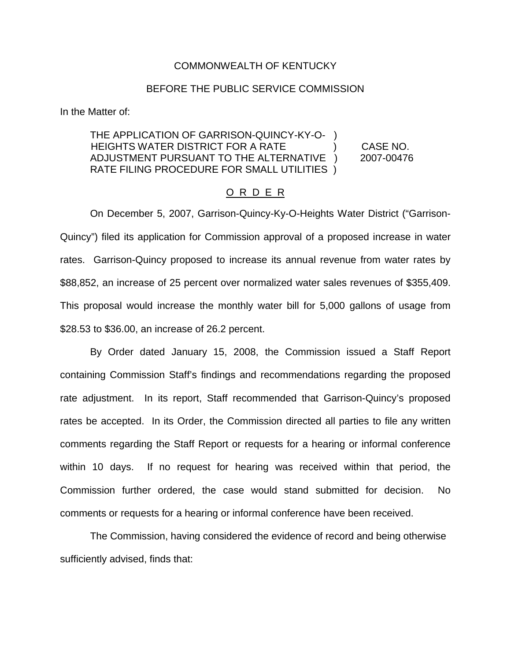#### COMMONWEALTH OF KENTUCKY

#### BEFORE THE PUBLIC SERVICE COMMISSION

In the Matter of:

## THE APPLICATION OF GARRISON-QUINCY-KY-O- ) HEIGHTS WATER DISTRICT FOR A RATE ) CASE NO. ADJUSTMENT PURSUANT TO THE ALTERNATIVE ) 2007-00476 RATE FILING PROCEDURE FOR SMALL UTILITIES )

## O R D E R

On December 5, 2007, Garrison-Quincy-Ky-O-Heights Water District ("Garrison-Quincy") filed its application for Commission approval of a proposed increase in water rates. Garrison-Quincy proposed to increase its annual revenue from water rates by \$88,852, an increase of 25 percent over normalized water sales revenues of \$355,409. This proposal would increase the monthly water bill for 5,000 gallons of usage from \$28.53 to \$36.00, an increase of 26.2 percent.

By Order dated January 15, 2008, the Commission issued a Staff Report containing Commission Staff's findings and recommendations regarding the proposed rate adjustment. In its report, Staff recommended that Garrison-Quincy's proposed rates be accepted. In its Order, the Commission directed all parties to file any written comments regarding the Staff Report or requests for a hearing or informal conference within 10 days. If no request for hearing was received within that period, the Commission further ordered, the case would stand submitted for decision. No comments or requests for a hearing or informal conference have been received.

The Commission, having considered the evidence of record and being otherwise sufficiently advised, finds that: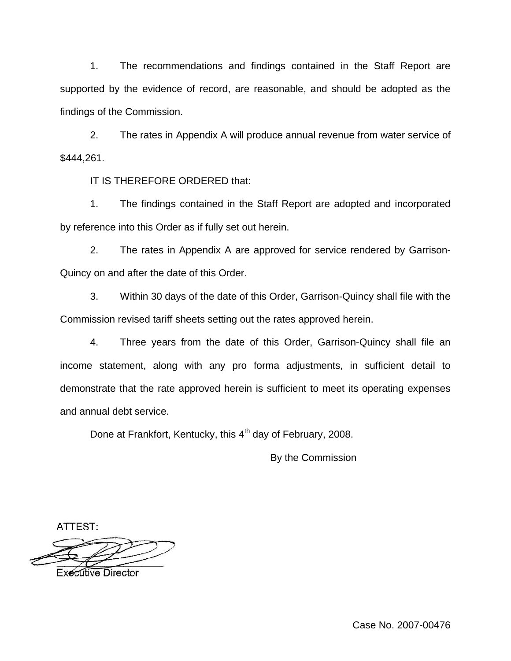1. The recommendations and findings contained in the Staff Report are supported by the evidence of record, are reasonable, and should be adopted as the findings of the Commission.

2. The rates in Appendix A will produce annual revenue from water service of \$444,261.

IT IS THEREFORE ORDERED that:

1. The findings contained in the Staff Report are adopted and incorporated by reference into this Order as if fully set out herein.

2. The rates in Appendix A are approved for service rendered by Garrison-Quincy on and after the date of this Order.

3. Within 30 days of the date of this Order, Garrison-Quincy shall file with the Commission revised tariff sheets setting out the rates approved herein.

4. Three years from the date of this Order, Garrison-Quincy shall file an income statement, along with any pro forma adjustments, in sufficient detail to demonstrate that the rate approved herein is sufficient to meet its operating expenses and annual debt service.

Done at Frankfort, Kentucky, this 4<sup>th</sup> day of February, 2008.

By the Commission

ATTEST:

**Executive Director** 

Case No. 2007-00476